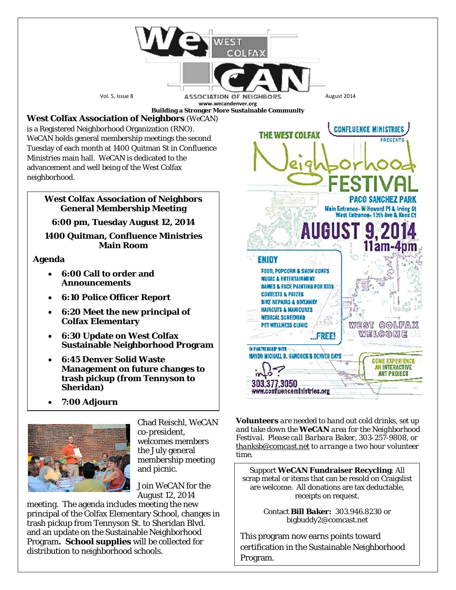

- **6:30 Update on West Colfax Sustainable Neighborhood Program**
- **6:45 Denver Solid Waste Management on future changes to trash pickup (from Tennyson to Sheridan)**
- **7:00 Adjourn**



Chad Reischl, *WeCAN* co-president, welcomes members the July general membership meeting and picnic.

Join *WeCAN* for the August 12, 2014

meeting. The agenda includes meeting the new principal of the Colfax Elementary School, changes in trash pickup from Tennyson St. to Sheridan Blvd. and an update on the Sustainable Neighborhood Program**. School supplies** will be collected for distribution to neighborhood schools.

*Volunteers are needed to hand out cold drinks, set up and take down the WeCAN area for the Neighborhood Festival. Please call Barbara Baker, 303-257-9808, or [thanksb@comcast.net](mailto:thanksb@comcast.net) to arrange a two hour volunteer time.*

 $...$ FREE!

IN PARTNERSHIP WITH

303.377.3050

MAYOR MICHAEL B. HANCOCK & DENVER DAYS

www.confluenceministries.org

welgome

**COME EXPERIENCE** AN INTERACTIVE **ART PROJECT** 

Support *WeCAN* **Fundraiser Recycling**: All scrap metal or items that can be resold on Craigslist are welcome. All donations are tax deductable, receipts on request.

> Contact **Bill Baker:** 303.946.8230 or bigbuddy2@comcast.net

This program now earns points toward certification in the Sustainable Neighborhood Program.